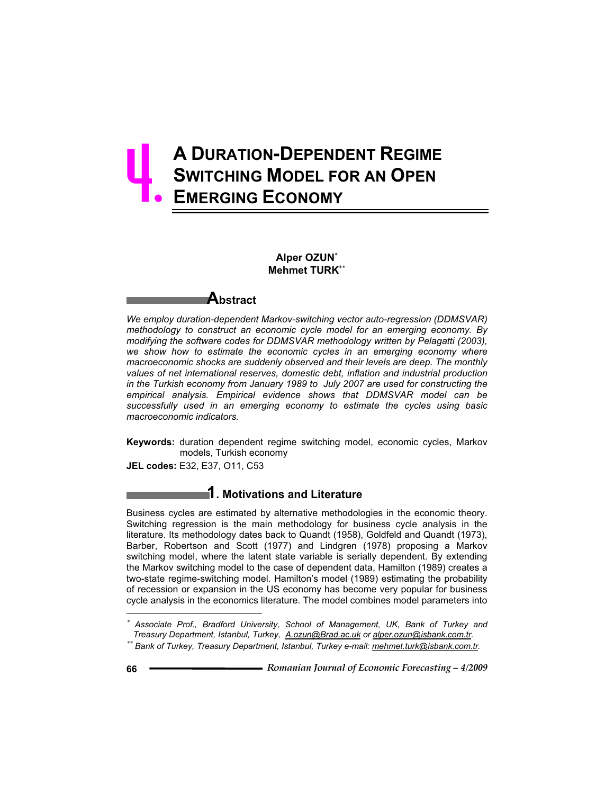# **A DURATION-DEPENDENT REGIME SWITCHING MODEL FOR AN OPEN EMERGING ECONOMY**  4.

### **Alper OZUN Mehmet TURK**



*We employ duration-dependent Markov-switching vector auto-regression (DDMSVAR) methodology to construct an economic cycle model for an emerging economy. By modifying the software codes for DDMSVAR methodology written by Pelagatti (2003), we show how to estimate the economic cycles in an emerging economy where macroeconomic shocks are suddenly observed and their levels are deep. The monthly values of net international reserves, domestic debt, inflation and industrial production in the Turkish economy from January 1989 to July 2007 are used for constructing the empirical analysis. Empirical evidence shows that DDMSVAR model can be successfully used in an emerging economy to estimate the cycles using basic macroeconomic indicators.* 

**Keywords:** duration dependent regime switching model, economic cycles, Markov models, Turkish economy

**JEL codes:** E32, E37, O11, C53

# **1. Motivations and Literature**

Business cycles are estimated by alternative methodologies in the economic theory. Switching regression is the main methodology for business cycle analysis in the literature. Its methodology dates back to Quandt (1958), Goldfeld and Quandt (1973), Barber, Robertson and Scott (1977) and Lindgren (1978) proposing a Markov switching model, where the latent state variable is serially dependent. By extending the Markov switching model to the case of dependent data, Hamilton (1989) creates a two-state regime-switching model. Hamilton's model (1989) estimating the probability of recession or expansion in the US economy has become very popular for business cycle analysis in the economics literature. The model combines model parameters into

 $\overline{a}$ 

<sup>∗</sup>  *Associate Prof., Bradford University, School of Management, UK, Bank of Turkey and Treasury Department, Istanbul, Turkey, A.ozun@Brad.ac.uk or alper.ozun@isbank.com.tr.*

*Bank of Turkey, Treasury Department, Istanbul, Turkey e-mail: mehmet.turk@isbank.com.tr.*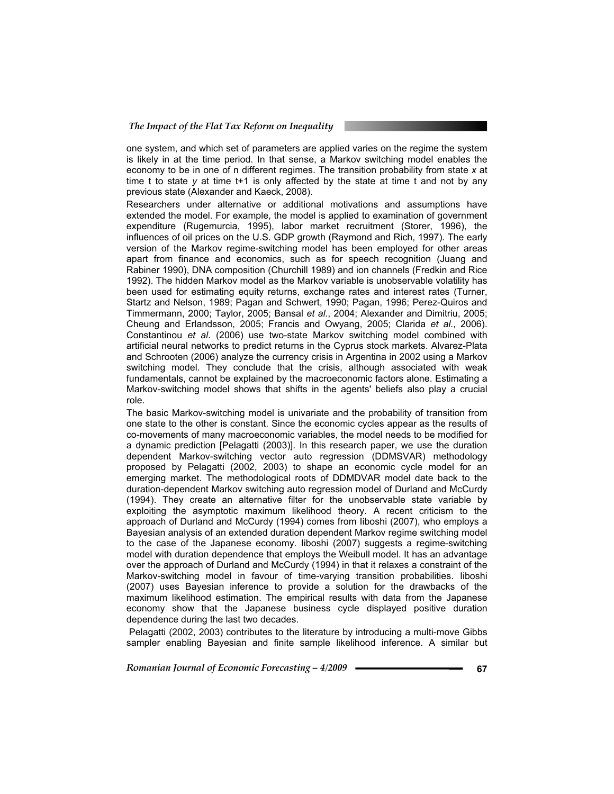one system, and which set of parameters are applied varies on the regime the system is likely in at the time period. In that sense, a Markov switching model enables the economy to be in one of n different regimes. The transition probability from state *x* at time t to state *y* at time t+1 is only affected by the state at time t and not by any previous state (Alexander and Kaeck, 2008).

Researchers under alternative or additional motivations and assumptions have extended the model. For example, the model is applied to examination of government expenditure (Rugemurcia, 1995), labor market recruitment (Storer, 1996), the influences of oil prices on the U.S. GDP growth (Raymond and Rich, 1997). The early version of the Markov regime-switching model has been employed for other areas apart from finance and economics, such as for speech recognition (Juang and Rabiner 1990), DNA composition (Churchill 1989) and ion channels (Fredkin and Rice 1992). The hidden Markov model as the Markov variable is unobservable volatility has been used for estimating equity returns, exchange rates and interest rates (Turner, Startz and Nelson, 1989; Pagan and Schwert, 1990; Pagan, 1996; Perez-Quiros and Timmermann, 2000; Taylor, 2005; Bansal *et al*., 2004; Alexander and Dimitriu, 2005; Cheung and Erlandsson, 2005; Francis and Owyang, 2005; Clarida *et al*., 2006). Constantinou *et al*. (2006) use two-state Markov switching model combined with artificial neural networks to predict returns in the Cyprus stock markets. Alvarez-Plata and Schrooten (2006) analyze the currency crisis in Argentina in 2002 using a Markov switching model. They conclude that the crisis, although associated with weak fundamentals, cannot be explained by the macroeconomic factors alone. Estimating a Markov-switching model shows that shifts in the agents' beliefs also play a crucial role.

The basic Markov-switching model is univariate and the probability of transition from one state to the other is constant. Since the economic cycles appear as the results of co-movements of many macroeconomic variables, the model needs to be modified for a dynamic prediction [Pelagatti (2003)]. In this research paper, we use the duration dependent Markov-switching vector auto regression (DDMSVAR) methodology proposed by Pelagatti (2002, 2003) to shape an economic cycle model for an emerging market. The methodological roots of DDMDVAR model date back to the duration-dependent Markov switching auto regression model of Durland and McCurdy (1994). They create an alternative filter for the unobservable state variable by exploiting the asymptotic maximum likelihood theory. A recent criticism to the approach of Durland and McCurdy (1994) comes from Iiboshi (2007), who employs a Bayesian analysis of an extended duration dependent Markov regime switching model to the case of the Japanese economy. Iiboshi (2007) suggests a regime-switching model with duration dependence that employs the Weibull model. It has an advantage over the approach of Durland and McCurdy (1994) in that it relaxes a constraint of the Markov-switching model in favour of time-varying transition probabilities. Iiboshi (2007) uses Bayesian inference to provide a solution for the drawbacks of the maximum likelihood estimation. The empirical results with data from the Japanese economy show that the Japanese business cycle displayed positive duration dependence during the last two decades.

 Pelagatti (2002, 2003) contributes to the literature by introducing a multi-move Gibbs sampler enabling Bayesian and finite sample likelihood inference. A similar but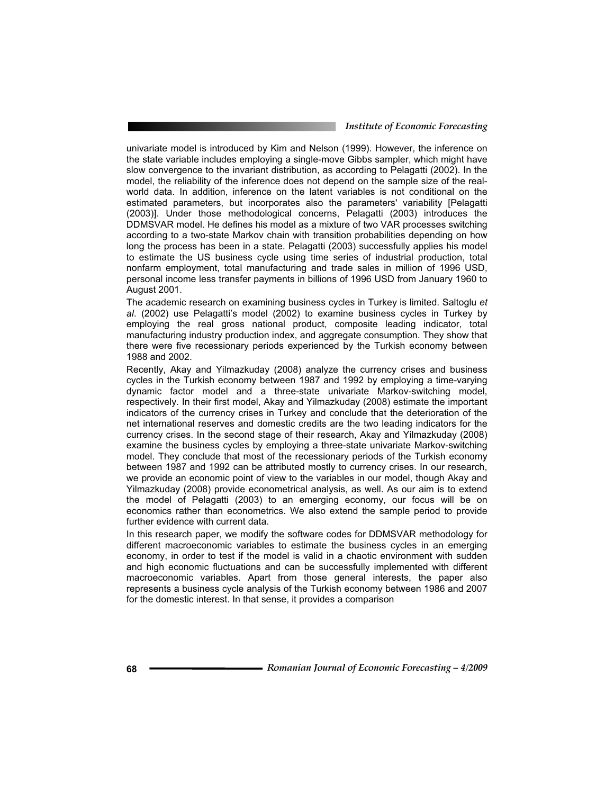univariate model is introduced by Kim and Nelson (1999). However, the inference on the state variable includes employing a single-move Gibbs sampler, which might have slow convergence to the invariant distribution, as according to Pelagatti (2002). In the model, the reliability of the inference does not depend on the sample size of the realworld data. In addition, inference on the latent variables is not conditional on the estimated parameters, but incorporates also the parameters' variability [Pelagatti (2003)]. Under those methodological concerns, Pelagatti (2003) introduces the DDMSVAR model. He defines his model as a mixture of two VAR processes switching according to a two-state Markov chain with transition probabilities depending on how long the process has been in a state. Pelagatti (2003) successfully applies his model to estimate the US business cycle using time series of industrial production, total nonfarm employment, total manufacturing and trade sales in million of 1996 USD, personal income less transfer payments in billions of 1996 USD from January 1960 to August 2001.

The academic research on examining business cycles in Turkey is limited. Saltoglu *et al*. (2002) use Pelagatti's model (2002) to examine business cycles in Turkey by employing the real gross national product, composite leading indicator, total manufacturing industry production index, and aggregate consumption. They show that there were five recessionary periods experienced by the Turkish economy between 1988 and 2002.

Recently, Akay and Yilmazkuday (2008) analyze the currency crises and business cycles in the Turkish economy between 1987 and 1992 by employing a time-varying dynamic factor model and a three-state univariate Markov-switching model, respectively. In their first model, Akay and Yilmazkuday (2008) estimate the important indicators of the currency crises in Turkey and conclude that the deterioration of the net international reserves and domestic credits are the two leading indicators for the currency crises. In the second stage of their research, Akay and Yilmazkuday (2008) examine the business cycles by employing a three-state univariate Markov-switching model. They conclude that most of the recessionary periods of the Turkish economy between 1987 and 1992 can be attributed mostly to currency crises. In our research, we provide an economic point of view to the variables in our model, though Akay and Yilmazkuday (2008) provide econometrical analysis, as well. As our aim is to extend the model of Pelagatti (2003) to an emerging economy, our focus will be on economics rather than econometrics. We also extend the sample period to provide further evidence with current data.

In this research paper, we modify the software codes for DDMSVAR methodology for different macroeconomic variables to estimate the business cycles in an emerging economy, in order to test if the model is valid in a chaotic environment with sudden and high economic fluctuations and can be successfully implemented with different macroeconomic variables. Apart from those general interests, the paper also represents a business cycle analysis of the Turkish economy between 1986 and 2007 for the domestic interest. In that sense, it provides a comparison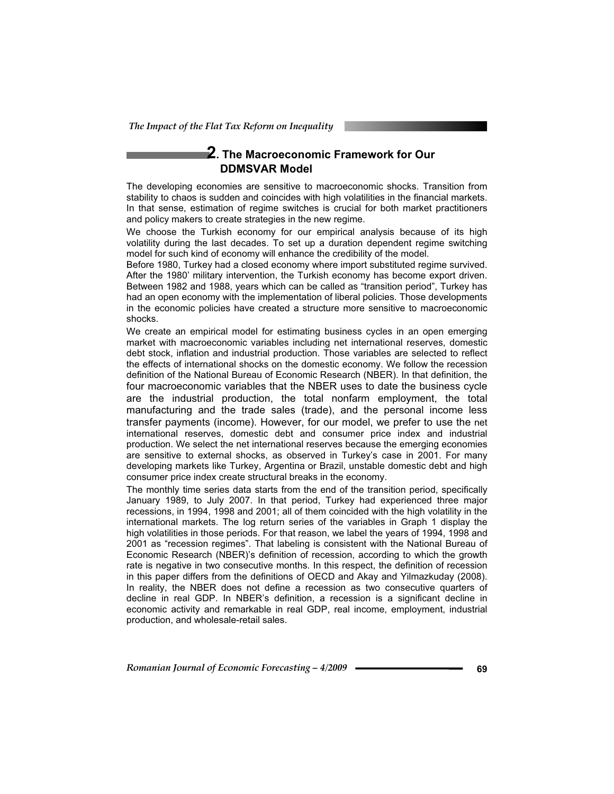# **2. The Macroeconomic Framework for Our DDMSVAR Model**

The developing economies are sensitive to macroeconomic shocks. Transition from stability to chaos is sudden and coincides with high volatilities in the financial markets. In that sense, estimation of regime switches is crucial for both market practitioners and policy makers to create strategies in the new regime.

We choose the Turkish economy for our empirical analysis because of its high volatility during the last decades. To set up a duration dependent regime switching model for such kind of economy will enhance the credibility of the model.

Before 1980, Turkey had a closed economy where import substituted regime survived. After the 1980' military intervention, the Turkish economy has become export driven. Between 1982 and 1988, years which can be called as "transition period", Turkey has had an open economy with the implementation of liberal policies. Those developments in the economic policies have created a structure more sensitive to macroeconomic shocks.

We create an empirical model for estimating business cycles in an open emerging market with macroeconomic variables including net international reserves, domestic debt stock, inflation and industrial production. Those variables are selected to reflect the effects of international shocks on the domestic economy. We follow the recession definition of the National Bureau of Economic Research (NBER). In that definition, the four macroeconomic variables that the NBER uses to date the business cycle are the industrial production, the total nonfarm employment, the total manufacturing and the trade sales (trade), and the personal income less transfer payments (income). However, for our model, we prefer to use the net international reserves, domestic debt and consumer price index and industrial production. We select the net international reserves because the emerging economies are sensitive to external shocks, as observed in Turkey's case in 2001. For many developing markets like Turkey, Argentina or Brazil, unstable domestic debt and high consumer price index create structural breaks in the economy.

The monthly time series data starts from the end of the transition period, specifically January 1989, to July 2007. In that period, Turkey had experienced three major recessions, in 1994, 1998 and 2001; all of them coincided with the high volatility in the international markets. The log return series of the variables in Graph 1 display the high volatilities in those periods. For that reason, we label the years of 1994, 1998 and 2001 as "recession regimes". That labeling is consistent with the National Bureau of Economic Research (NBER)'s definition of recession, according to which the growth rate is negative in two consecutive months. In this respect, the definition of recession in this paper differs from the definitions of OECD and Akay and Yilmazkuday (2008). In reality, the NBER does not define a recession as two consecutive quarters of decline in real GDP. In NBER's definition, a recession is a significant decline in economic activity and remarkable in real GDP, real income, employment, industrial production, and wholesale-retail sales.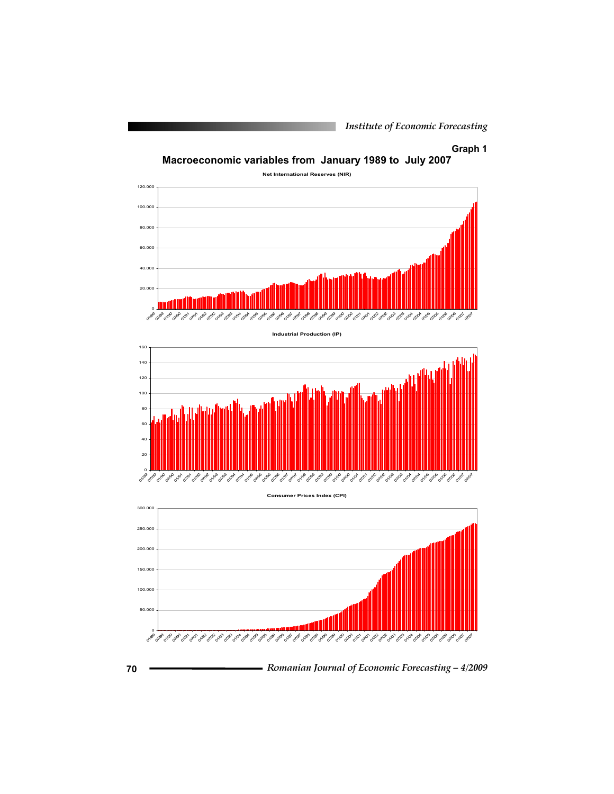### **Graph 1**







**Consumer Prices Index (CPI)**



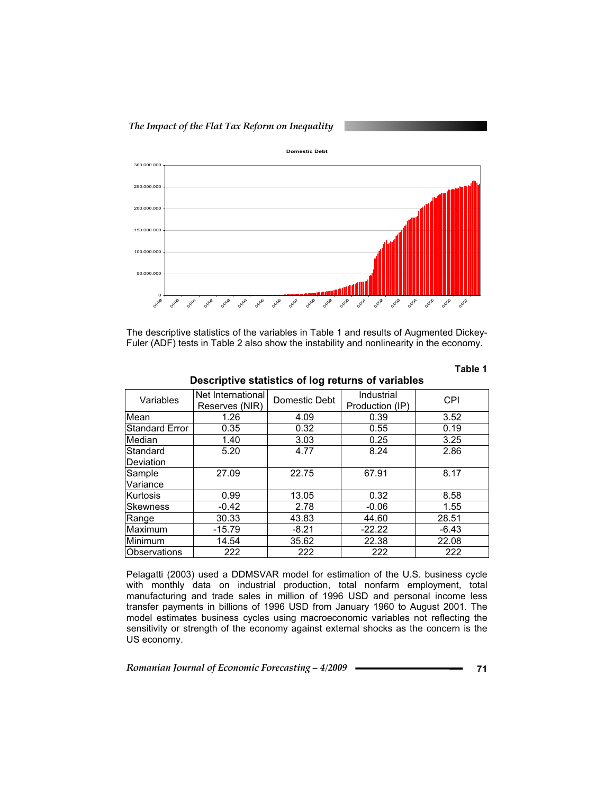



The descriptive statistics of the variables in Table 1 and results of Augmented Dickey-Fuler (ADF) tests in Table 2 also show the instability and nonlinearity in the economy.

| Variables             | Net International<br>Reserves (NIR) | Industrial<br>Domestic Debt<br>Production (IP) |          | <b>CPI</b> |
|-----------------------|-------------------------------------|------------------------------------------------|----------|------------|
| Mean                  | 1.26                                | 4.09                                           | 0.39     | 3.52       |
| <b>Standard Error</b> | 0.35                                | 0.32                                           | 0.55     | 0.19       |
| Median                | 1.40                                | 3.03                                           | 0.25     | 3.25       |
| Standard              | 5.20                                | 4.77                                           | 8.24     | 2.86       |
| Deviation             |                                     |                                                |          |            |
| Sample                | 27.09                               | 22.75                                          | 67.91    | 8.17       |
| Variance              |                                     |                                                |          |            |
| Kurtosis              | 0.99                                | 13.05                                          | 0.32     | 8.58       |
| <b>Skewness</b>       | $-0.42$                             | 2.78                                           | $-0.06$  | 1.55       |
| Range                 | 30.33                               | 43.83                                          | 44.60    | 28.51      |
| Maximum               | $-15.79$                            | $-8.21$                                        | $-22.22$ | $-6.43$    |
| Minimum               | 14.54                               | 35.62                                          | 22.38    | 22.08      |
| Observations          | 222                                 | 222                                            | 222      | 222        |

**Descriptive statistics of log returns of variables** 

Pelagatti (2003) used a DDMSVAR model for estimation of the U.S. business cycle with monthly data on industrial production, total nonfarm employment, total manufacturing and trade sales in million of 1996 USD and personal income less transfer payments in billions of 1996 USD from January 1960 to August 2001. The model estimates business cycles using macroeconomic variables not reflecting the sensitivity or strength of the economy against external shocks as the concern is the US economy.

*Romanian Journal of Economic Forecasting – 4/2009* **<sup>71</sup>**

**Table 1**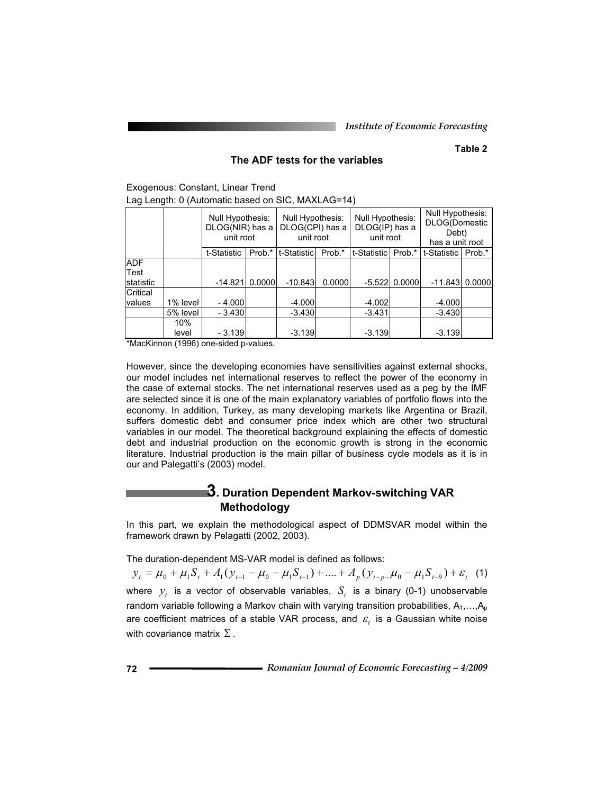### **Table 2**

### **The ADF tests for the variables**

Exogenous: Constant, Linear Trend Lag Length: 0 (Automatic based on SIC, MAXLAG=14)

|            |          | Null Hypothesis:<br>DLOG(NIR) has a<br>unit root |        | Null Hypothesis:<br>DLOG(CPI) has a<br>unit root |        | Null Hypothesis:<br>DLOG(IP) has a<br>unit root |                 | Null Hypothesis:<br><b>DLOG(Domestic</b><br>Debt)<br>has a unit root |        |
|------------|----------|--------------------------------------------------|--------|--------------------------------------------------|--------|-------------------------------------------------|-----------------|----------------------------------------------------------------------|--------|
|            |          | t-Statistic                                      | Prob.* | t-Statistic                                      | Prob.* | t-Statistic                                     | Prob.*          | t-Statistic I                                                        | Prob.* |
| <b>ADF</b> |          |                                                  |        |                                                  |        |                                                 |                 |                                                                      |        |
| Test       |          |                                                  |        |                                                  |        |                                                 |                 |                                                                      |        |
| statistic  |          | $-14.821$                                        | 0.0000 | $-10.843$                                        | 0.0000 |                                                 | $-5.522$ 0.0000 | $-11.843$                                                            | 0.0000 |
| Critical   |          |                                                  |        |                                                  |        |                                                 |                 |                                                                      |        |
| values     | 1% level | - 4.0001                                         |        | $-4.000$                                         |        | $-4.002$                                        |                 | $-4.000$                                                             |        |
|            | 5% level | - 3.430                                          |        | $-3.430$                                         |        | $-3.431$                                        |                 | $-3.430$                                                             |        |
|            | 10%      |                                                  |        |                                                  |        |                                                 |                 |                                                                      |        |
|            | level    | - 3.139                                          |        | $-3.139$                                         |        | $-3.139$                                        |                 | $-3.139$                                                             |        |

\*MacKinnon (1996) one-sided p-values.

However, since the developing economies have sensitivities against external shocks, our model includes net international reserves to reflect the power of the economy in the case of external stocks. The net international reserves used as a peg by the IMF are selected since it is one of the main explanatory variables of portfolio flows into the economy. In addition, Turkey, as many developing markets like Argentina or Brazil, suffers domestic debt and consumer price index which are other two structural variables in our model. The theoretical background explaining the effects of domestic debt and industrial production on the economic growth is strong in the economic literature. Industrial production is the main pillar of business cycle models as it is in our and Palegatti's (2003) model.

# **3. Duration Dependent Markov-switching VAR Methodology**

In this part, we explain the methodological aspect of DDMSVAR model within the framework drawn by Pelagatti (2002, 2003).

The duration-dependent MS-VAR model is defined as follows:

 $y_t = \mu_0 + \mu_1 S_t + A_1 (y_{t-1} - \mu_0 - \mu_1 S_{t-1}) + \dots + A_n (y_{t-n} - \mu_0 - \mu_1 S_{t-2}) + \varepsilon_t$  (1) where  $y_t$  is a vector of observable variables,  $S_t$  is a binary (0-1) unobservable random variable following a Markov chain with varying transition probabilities,  $A_1, \ldots, A_p$ are coefficient matrices of a stable VAR process, and  $\varepsilon$ , is a Gaussian white noise with covariance matrix  $\Sigma$ .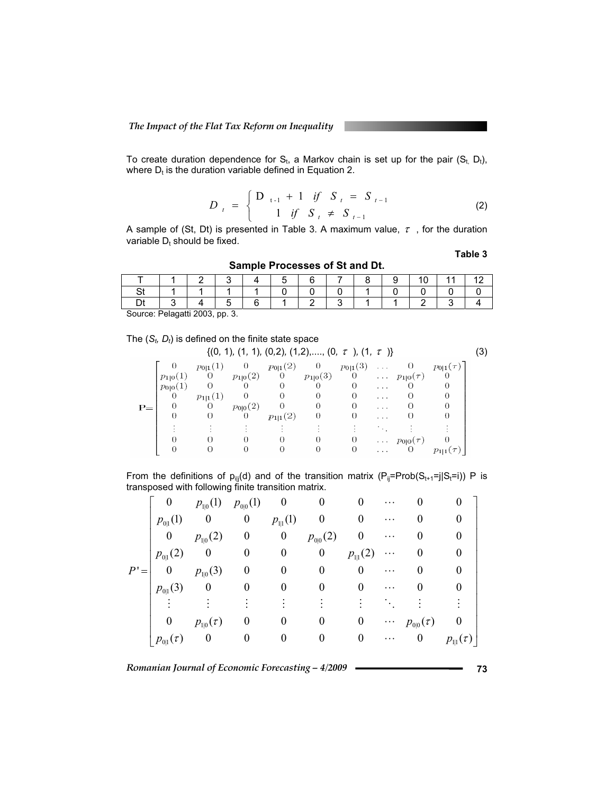To create duration dependence for  $S_t$ , a Markov chain is set up for the pair  $(S_t, D_t)$ , where  $D_t$  is the duration variable defined in Equation 2.

$$
D_{t} = \begin{cases} D_{t-1} + 1 & \text{if} \quad S_{t} = S_{t-1} \\ 1 & \text{if} \quad S_{t} \neq S_{t-1} \end{cases}
$$
 (2)

A sample of (St, Dt) is presented in Table 3. A maximum value,  $\tau$  , for the duration variable  $D_t$  should be fixed.

**Table 3**

| <b>Pattleto Literature of Albert</b> |  |        |  |   |  |  |  |  |  |  |  |  |  |
|--------------------------------------|--|--------|--|---|--|--|--|--|--|--|--|--|--|
|                                      |  |        |  | ∽ |  |  |  |  |  |  |  |  |  |
|                                      |  |        |  |   |  |  |  |  |  |  |  |  |  |
|                                      |  | -<br>∽ |  |   |  |  |  |  |  |  |  |  |  |

Source: Pelagatti 2003, pp. 3.

The 
$$
(S_t, D_t)
$$
 is defined on the finite state space

|      | $\{(0, 1), (1, 1), (0, 2), (1, 2), \ldots, (0, \tau), (1, \tau)\}\$ |                                 |                |              |          |                       |               |                        |                 |  |
|------|---------------------------------------------------------------------|---------------------------------|----------------|--------------|----------|-----------------------|---------------|------------------------|-----------------|--|
|      |                                                                     | $p_{0 1}(1)$                    | $\overline{0}$ | $p_{0 1}(2)$ | $\sim$ 0 | $p_{0 1}(3) \ldots 0$ |               |                        | $p_{0 1}(\tau)$ |  |
|      | $p_{1 0}(1)$                                                        | 0 $p_{1 0}(2)$ 0 $p_{1 0}(3)$ 0 |                |              |          |                       |               | $\cdots p_{1 0}(\tau)$ |                 |  |
|      | $p_{0 0}(1)$                                                        | $\overline{0}$                  | 0              | $\theta$     | 0        | $^{(1)}$              | $\cdots$      |                        |                 |  |
|      | $\theta$                                                            | $p_{1 1}(1)$                    | 0              | 0            | 0        | $\Omega$              | $\cdots$      |                        |                 |  |
| $P=$ | 0                                                                   | 0                               | $p_{0 0}(2)$   | $\sim$ 0     | $\theta$ | $\Omega$              | .             | $\Omega$               |                 |  |
|      | 0                                                                   | 0                               | 0              | $p_{1 1}(2)$ | $\theta$ |                       | .             |                        |                 |  |
|      |                                                                     |                                 |                |              |          |                       |               |                        |                 |  |
|      |                                                                     |                                 |                |              | 0        | 0                     |               | $\cdots p_{0 0}(\tau)$ |                 |  |
|      |                                                                     | 0                               | $^{(1)}$       |              | 0        | $\theta$              | $\sim$ $\sim$ | <b>U</b>               | $p_{1 1}(\tau)$ |  |

From the definitions of  $p_{ij}(d)$  and of the transition matrix  $(P_{ij}=Prob(S_{t+1}=j|S_t=i))$  P is transposed with following finite transition matrix.

|        | $\boldsymbol{0}$     | $p_{1 0}(1)$ $p_{0 0}(1)$ |                          | $\overline{\phantom{0}}$        |                  |                  | $\cdots$ |                        |                                    |
|--------|----------------------|---------------------------|--------------------------|---------------------------------|------------------|------------------|----------|------------------------|------------------------------------|
|        | $p_{0 1}(1)$         | $\boldsymbol{0}$          | $\boldsymbol{0}$         | $p_{\scriptscriptstyle 1 1}(1)$ | $\boldsymbol{0}$ | $\theta$         | $\cdots$ |                        |                                    |
|        | $\boldsymbol{0}$     | $p_{\rm l 0}(2)$          | $\boldsymbol{0}$         | $\bf{0}$                        | $p_{0 0}(2)$     | $\boldsymbol{0}$ | $\cdots$ |                        |                                    |
|        | $p_{0 1}(2)$         | $\boldsymbol{0}$          | $\overline{\phantom{0}}$ | $\boldsymbol{0}$                | $\boldsymbol{0}$ | $p_{\rm l l}(2)$ | $\cdots$ |                        |                                    |
| $P' =$ | $\overline{0}$       | $p_{1 0}(3)$              | $\boldsymbol{0}$         | $\boldsymbol{0}$                | $\boldsymbol{0}$ | $\theta$         | $\cdots$ | $\theta$               |                                    |
|        | $p_{0 1}(3)$         | $\bf{0}$                  | $\boldsymbol{0}$         | 0                               |                  |                  | .        |                        |                                    |
|        |                      |                           |                          |                                 |                  |                  |          |                        |                                    |
|        | $\boldsymbol{0}$     | $p_{\text{li0}}(\tau)$    | $\theta$                 | 0                               | 0                | $\bf{0}$         |          | $\cdots p_{0 0}(\tau)$ |                                    |
|        | $p_{0\vert 1}(\tau)$ | $\boldsymbol{0}$          | $\theta$                 | $\theta$                        | 0                | $\theta$         | .        | $\boldsymbol{0}$       | $p_{\scriptscriptstyle [1]}(\tau)$ |

*Romanian Journal of Economic Forecasting – 4/2009* **<sup>73</sup>**

**Sample Processes of St and Dt.**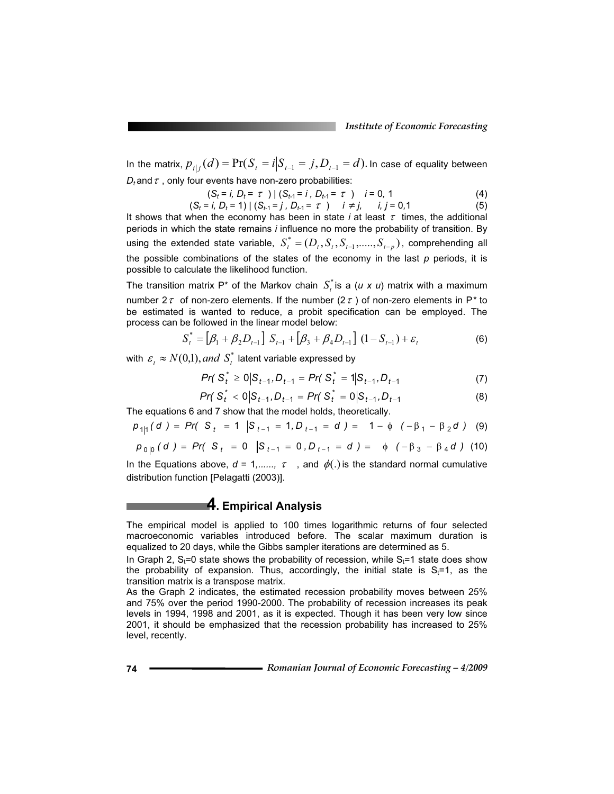In the matrix,  $p_{i|j}(d) = Pr(S_i = i | S_{i-1} = j, D_{i-1} = d)$ . In case of equality between  $D_t$  and  $\tau$ , only four events have non-zero probabilities:

$$
(S_t = i, D_t = \tau) | (S_{t-1} = i, D_{t-1} = \tau) i = 0, 1
$$
 (4)

$$
(S_t = i, D_t = 1) | (S_{t-1} = j, D_{t-1} = \tau) \quad i \neq j, \quad i, j = 0, 1
$$
 (5)

It shows that when the economy has been in state  $i$  at least  $\tau$  times, the additional periods in which the state remains *i* influence no more the probability of transition. By using the extended state variable,  $S_t^* = (D_t, S_t, S_{t-1}, \ldots, S_{t-p})$ , comprehending all the possible combinations of the states of the economy in the last *p* periods, it is possible to calculate the likelihood function.

The transition matrix P<sup>\*</sup> of the Markov chain  $S_t^*$  is a (*u x u*) matrix with a maximum number  $2\tau$  of non-zero elements. If the number ( $2\tau$ ) of non-zero elements in P<sup>\*</sup> to be estimated is wanted to reduce, a probit specification can be employed. The process can be followed in the linear model below:

$$
S_t^* = [\beta_1 + \beta_2 D_{t-1}] S_{t-1} + [\beta_3 + \beta_4 D_{t-1}] (1 - S_{t-1}) + \varepsilon_t
$$
 (6)

with  $\varepsilon_t \approx N(0,1)$ , and  $S_t^*$  latent variable expressed by

$$
Pr(S_t^* \ge 0 | S_{t-1}, D_{t-1} = Pr(S_t^* = 1 | S_{t-1}, D_{t-1} \tag{7})
$$

$$
Pr(S_t^* < 0|S_{t-1}, D_{t-1} = Pr(S_t^* = 0|S_{t-1}, D_{t-1}
$$
 (8)

The equations 6 and 7 show that the model holds, theoretically.

$$
p_{1|1}(d) = Pr(S_t = 1 | S_{t-1} = 1, D_{t-1} = d) = 1 - \phi (-\beta_1 - \beta_2 d) (9)
$$

$$
p_{0|0}(d) = Pr(|S_t = 0| |S_{t-1} = 0, D_{t-1} = d) = \phi (-\beta_3 - \beta_4 d) \quad (10)
$$

In the Equations above,  $d = 1, \ldots, \tau$ , and  $\phi(.)$  is the standard normal cumulative distribution function [Pelagatti (2003)].

# **4. Empirical Analysis**

The empirical model is applied to 100 times logarithmic returns of four selected macroeconomic variables introduced before. The scalar maximum duration is equalized to 20 days, while the Gibbs sampler iterations are determined as 5.

In Graph 2,  $S_t=0$  state shows the probability of recession, while  $S_t=1$  state does show the probability of expansion. Thus, accordingly, the initial state is  $S_t=1$ , as the transition matrix is a transpose matrix.

As the Graph 2 indicates, the estimated recession probability moves between 25% and 75% over the period 1990-2000. The probability of recession increases its peak levels in 1994, 1998 and 2001, as it is expected. Though it has been very low since 2001, it should be emphasized that the recession probability has increased to 25% level, recently.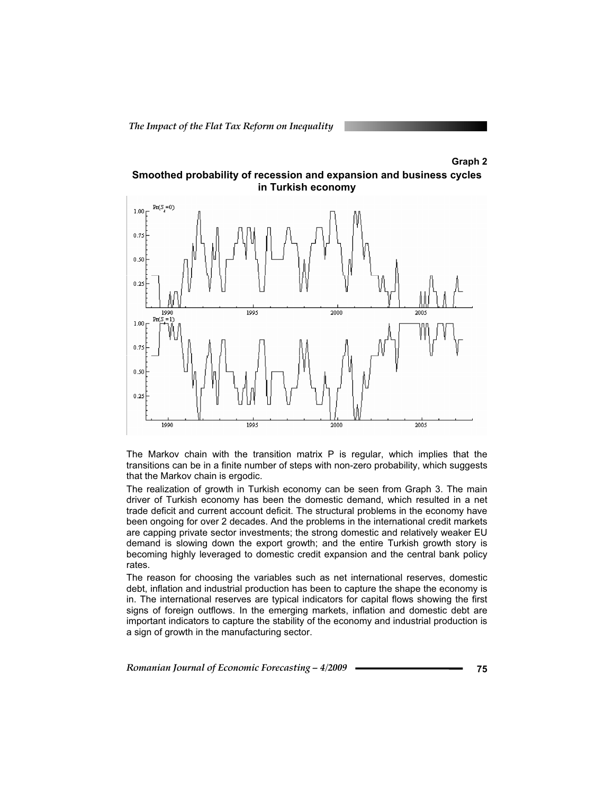#### **Graph 2**





The Markov chain with the transition matrix P is regular, which implies that the transitions can be in a finite number of steps with non-zero probability, which suggests that the Markov chain is ergodic.

The realization of growth in Turkish economy can be seen from Graph 3. The main driver of Turkish economy has been the domestic demand, which resulted in a net trade deficit and current account deficit. The structural problems in the economy have been ongoing for over 2 decades. And the problems in the international credit markets are capping private sector investments; the strong domestic and relatively weaker EU demand is slowing down the export growth; and the entire Turkish growth story is becoming highly leveraged to domestic credit expansion and the central bank policy rates.

The reason for choosing the variables such as net international reserves, domestic debt, inflation and industrial production has been to capture the shape the economy is in. The international reserves are typical indicators for capital flows showing the first signs of foreign outflows. In the emerging markets, inflation and domestic debt are important indicators to capture the stability of the economy and industrial production is a sign of growth in the manufacturing sector.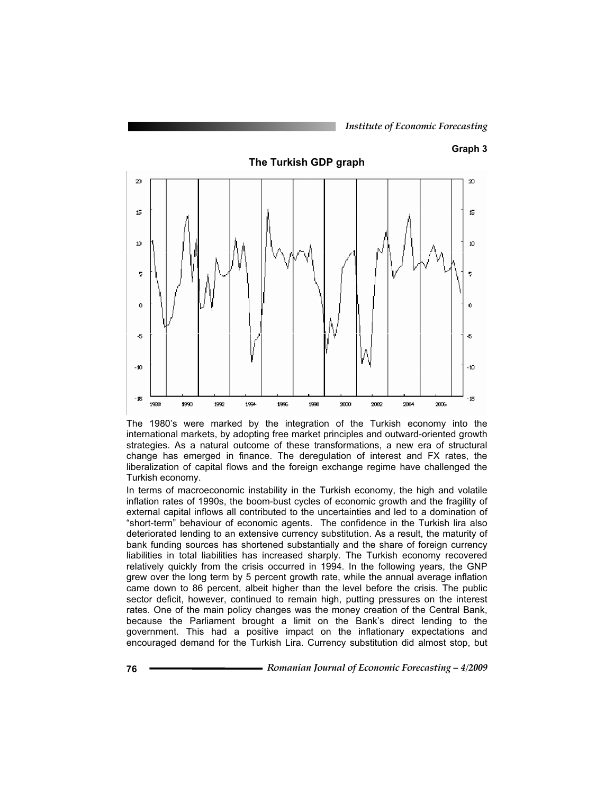#### **Graph 3**



The 1980's were marked by the integration of the Turkish economy into the international markets, by adopting free market principles and outward-oriented growth strategies. As a natural outcome of these transformations, a new era of structural change has emerged in finance. The deregulation of interest and FX rates, the liberalization of capital flows and the foreign exchange regime have challenged the Turkish economy.

In terms of macroeconomic instability in the Turkish economy, the high and volatile inflation rates of 1990s, the boom-bust cycles of economic growth and the fragility of external capital inflows all contributed to the uncertainties and led to a domination of "short-term" behaviour of economic agents. The confidence in the Turkish lira also deteriorated lending to an extensive currency substitution. As a result, the maturity of bank funding sources has shortened substantially and the share of foreign currency liabilities in total liabilities has increased sharply. The Turkish economy recovered relatively quickly from the crisis occurred in 1994. In the following years, the GNP grew over the long term by 5 percent growth rate, while the annual average inflation came down to 86 percent, albeit higher than the level before the crisis. The public sector deficit, however, continued to remain high, putting pressures on the interest rates. One of the main policy changes was the money creation of the Central Bank, because the Parliament brought a limit on the Bank's direct lending to the government. This had a positive impact on the inflationary expectations and encouraged demand for the Turkish Lira. Currency substitution did almost stop, but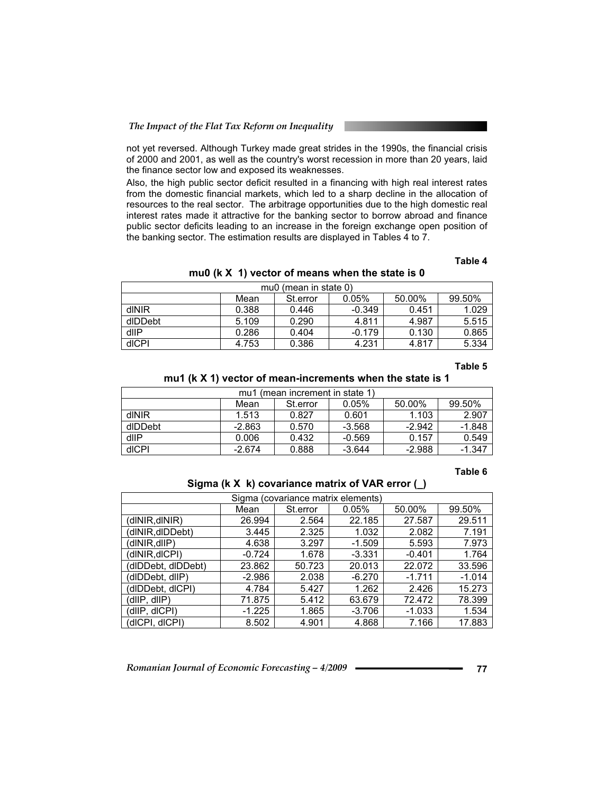not yet reversed. Although Turkey made great strides in the 1990s, the financial crisis of 2000 and 2001, as well as the country's worst recession in more than 20 years, laid the finance sector low and exposed its weaknesses.

Also, the high public sector deficit resulted in a financing with high real interest rates from the domestic financial markets, which led to a sharp decline in the allocation of resources to the real sector. The arbitrage opportunities due to the high domestic real interest rates made it attractive for the banking sector to borrow abroad and finance public sector deficits leading to an increase in the foreign exchange open position of the banking sector. The estimation results are displayed in Tables 4 to 7.

#### **Table 4**

#### **mu0 (k X 1) vector of means when the state is 0**

| mu0 (mean in state 0) |       |          |          |        |        |  |  |  |  |  |
|-----------------------|-------|----------|----------|--------|--------|--|--|--|--|--|
|                       | Mean  | St.error | 0.05%    | 50.00% | 99.50% |  |  |  |  |  |
| dINIR                 | 0.388 | 0.446    | $-0.349$ | 0.451  | 1.029  |  |  |  |  |  |
| dlDDebt               | 5.109 | 0.290    | 4.811    | 4.987  | 5.515  |  |  |  |  |  |
| dllP                  | 0.286 | 0.404    | $-0.179$ | 0.130  | 0.865  |  |  |  |  |  |
| dICPI                 | 4.753 | 0.386    | 4.231    | 4.817  | 5.334  |  |  |  |  |  |

#### **Table 5**

#### **mu1 (k X 1) vector of mean-increments when the state is 1**

| mu1 (mean increment in state 1) |                                               |       |          |          |          |  |  |  |  |  |
|---------------------------------|-----------------------------------------------|-------|----------|----------|----------|--|--|--|--|--|
|                                 | 99.50%<br>50.00%<br>0.05%<br>St.error<br>Mean |       |          |          |          |  |  |  |  |  |
| dINIR                           | 1.513                                         | 0.827 | 0.601    | 1.103    | 2.907    |  |  |  |  |  |
| dlDDebt                         | $-2.863$                                      | 0.570 | $-3.568$ | $-2.942$ | $-1.848$ |  |  |  |  |  |
| dllP                            | 0.006                                         | 0.432 | $-0.569$ | 0.157    | 0.549    |  |  |  |  |  |
| dICPI                           | $-2.674$                                      | 0.888 | $-3.644$ | $-2.988$ | $-1.347$ |  |  |  |  |  |

#### **Table 6**

#### **Sigma (k X k) covariance matrix of VAR error (\_)**

| Sigma (covariance matrix elements) |          |          |          |          |          |  |  |  |  |  |
|------------------------------------|----------|----------|----------|----------|----------|--|--|--|--|--|
|                                    | Mean     | St.error | 0.05%    | 50.00%   | 99.50%   |  |  |  |  |  |
| (dINIR,dINIR)                      | 26.994   | 2.564    | 22.185   | 27.587   | 29.511   |  |  |  |  |  |
| (dINIR,dIDDebt)                    | 3.445    | 2.325    | 1.032    | 2.082    | 7.191    |  |  |  |  |  |
| (dINIR,dIIP)                       | 4.638    | 3.297    | $-1.509$ | 5.593    | 7.973    |  |  |  |  |  |
| (dINIR,dICPI)                      | $-0.724$ | 1.678    | $-3.331$ | $-0.401$ | 1.764    |  |  |  |  |  |
| (dIDDebt, dIDDebt)                 | 23.862   | 50.723   | 20.013   | 22.072   | 33.596   |  |  |  |  |  |
| (dIDDebt, dIIP)                    | $-2.986$ | 2.038    | $-6.270$ | $-1.711$ | $-1.014$ |  |  |  |  |  |
| (dlDDebt, dlCPI)                   | 4.784    | 5.427    | 1.262    | 2.426    | 15.273   |  |  |  |  |  |
| (dllP, dllP)                       | 71.875   | 5.412    | 63.679   | 72.472   | 78.399   |  |  |  |  |  |
| (dlIP, dlCPI)                      | $-1.225$ | 1.865    | $-3.706$ | $-1.033$ | 1.534    |  |  |  |  |  |
| (dICPI, dICPI)                     | 8.502    | 4.901    | 4.868    | 7.166    | 17.883   |  |  |  |  |  |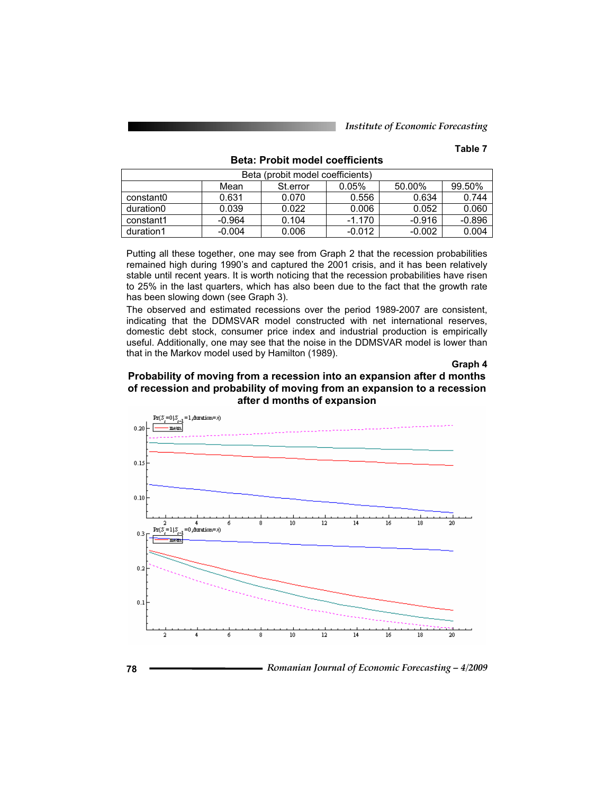### **Table 7**

| Beta (probit model coefficients) |                                               |       |          |          |          |  |  |  |  |  |
|----------------------------------|-----------------------------------------------|-------|----------|----------|----------|--|--|--|--|--|
|                                  | 99.50%<br>0.05%<br>50.00%<br>St.error<br>Mean |       |          |          |          |  |  |  |  |  |
| constant0                        | 0.631                                         | 0.070 | 0.556    | 0.634    | 0.744    |  |  |  |  |  |
| duration0                        | 0.039                                         | 0.022 | 0.006    | 0.052    | 0.060    |  |  |  |  |  |
| constant1                        | $-0.964$                                      | 0.104 | $-1.170$ | $-0.916$ | $-0.896$ |  |  |  |  |  |
| duration1                        | $-0.004$                                      | 0.006 | $-0.012$ | $-0.002$ | 0.004    |  |  |  |  |  |

**Beta: Probit model coefficients** 

Putting all these together, one may see from Graph 2 that the recession probabilities remained high during 1990's and captured the 2001 crisis, and it has been relatively stable until recent years. It is worth noticing that the recession probabilities have risen to 25% in the last quarters, which has also been due to the fact that the growth rate has been slowing down (see Graph 3).

The observed and estimated recessions over the period 1989-2007 are consistent, indicating that the DDMSVAR model constructed with net international reserves, domestic debt stock, consumer price index and industrial production is empirically useful. Additionally, one may see that the noise in the DDMSVAR model is lower than that in the Markov model used by Hamilton (1989).

#### **Graph 4**

### **Probability of moving from a recession into an expansion after d months of recession and probability of moving from an expansion to a recession after d months of expansion**



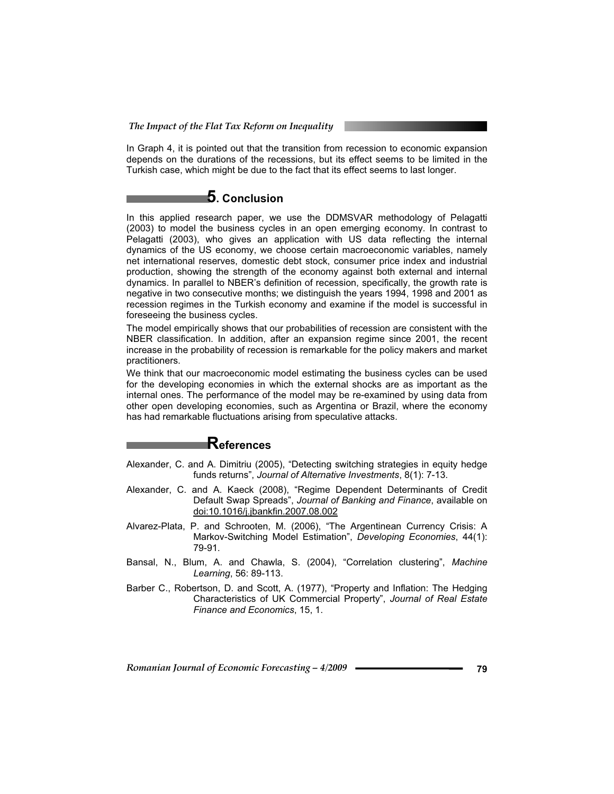In Graph 4, it is pointed out that the transition from recession to economic expansion depends on the durations of the recessions, but its effect seems to be limited in the Turkish case, which might be due to the fact that its effect seems to last longer.

# **5. Conclusion**

In this applied research paper, we use the DDMSVAR methodology of Pelagatti (2003) to model the business cycles in an open emerging economy. In contrast to Pelagatti (2003), who gives an application with US data reflecting the internal dynamics of the US economy, we choose certain macroeconomic variables, namely net international reserves, domestic debt stock, consumer price index and industrial production, showing the strength of the economy against both external and internal dynamics. In parallel to NBER's definition of recession, specifically, the growth rate is negative in two consecutive months; we distinguish the years 1994, 1998 and 2001 as recession regimes in the Turkish economy and examine if the model is successful in foreseeing the business cycles.

The model empirically shows that our probabilities of recession are consistent with the NBER classification. In addition, after an expansion regime since 2001, the recent increase in the probability of recession is remarkable for the policy makers and market practitioners.

We think that our macroeconomic model estimating the business cycles can be used for the developing economies in which the external shocks are as important as the internal ones. The performance of the model may be re-examined by using data from other open developing economies, such as Argentina or Brazil, where the economy has had remarkable fluctuations arising from speculative attacks.

# **References**

- Alexander, C. and A. Dimitriu (2005), "Detecting switching strategies in equity hedge funds returns", *Journal of Alternative Investments*, 8(1): 7-13.
- Alexander, C. and A. Kaeck (2008), "Regime Dependent Determinants of Credit Default Swap Spreads", *Journal of Banking and Finance*, available on doi:10.1016/j.jbankfin.2007.08.002
- Alvarez-Plata, P. and Schrooten, M. (2006), "The Argentinean Currency Crisis: A Markov-Switching Model Estimation", *Developing Economies*, 44(1): 79-91.
- Bansal, N., Blum, A. and Chawla, S. (2004), "Correlation clustering", *Machine Learning*, 56: 89-113.
- Barber C., Robertson, D. and Scott, A. (1977), "Property and Inflation: The Hedging Characteristics of UK Commercial Property", *Journal of Real Estate Finance and Economics*, 15, 1.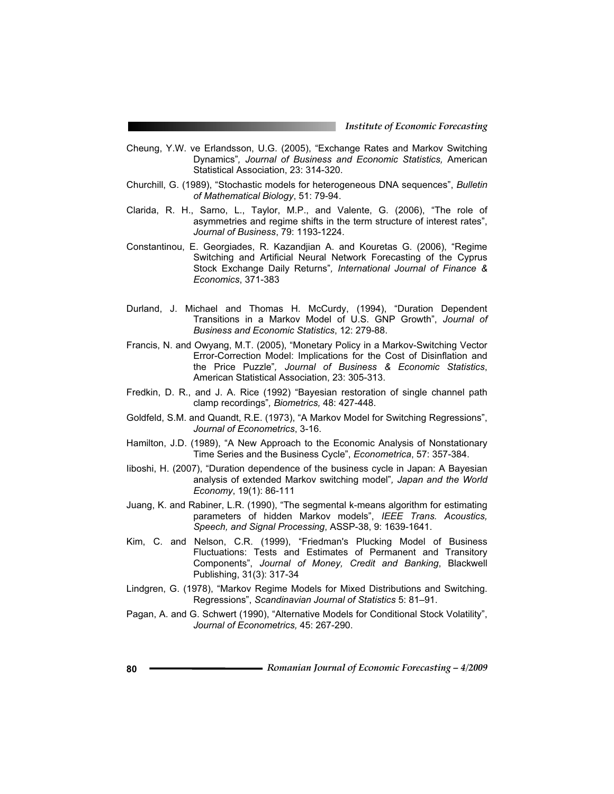- Cheung, Y.W. ve Erlandsson, U.G. (2005), "Exchange Rates and Markov Switching Dynamics"*, Journal of Business and Economic Statistics,* American Statistical Association, 23: 314-320.
- Churchill, G. (1989), "Stochastic models for heterogeneous DNA sequences", *Bulletin of Mathematical Biology*, 51: 79-94.
- Clarida, R. H., Sarno, L., Taylor, M.P., and Valente, G. (2006), "The role of asymmetries and regime shifts in the term structure of interest rates", *Journal of Business*, 79: 1193-1224.
- Constantinou, E. Georgiades, R. Kazandjian A. and Kouretas G. (2006), "Regime Switching and Artificial Neural Network Forecasting of the Cyprus Stock Exchange Daily Returns"*, International Journal of Finance & Economics*, 371-383
- Durland, J. Michael and Thomas H. McCurdy, (1994), "Duration Dependent Transitions in a Markov Model of U.S. GNP Growth", *Journal of Business and Economic Statistics*, 12: 279-88.
- Francis, N. and Owyang, M.T. (2005), "Monetary Policy in a Markov-Switching Vector Error-Correction Model: Implications for the Cost of Disinflation and the Price Puzzle"*, Journal of Business & Economic Statistics*, American Statistical Association, 23: 305-313.
- Fredkin, D. R., and J. A. Rice (1992) "Bayesian restoration of single channel path clamp recordings"*, Biometrics,* 48: 427-448.
- Goldfeld, S.M. and Quandt, R.E. (1973), "A Markov Model for Switching Regressions", *Journal of Econometrics*, 3-16.
- Hamilton, J.D. (1989), "A New Approach to the Economic Analysis of Nonstationary Time Series and the Business Cycle", *Econometrica*, 57: 357-384.
- Iiboshi, H. (2007), "Duration dependence of the business cycle in Japan: A Bayesian analysis of extended Markov switching model"*, Japan and the World Economy*, 19(1): 86-111
- Juang, K. and Rabiner, L.R. (1990), "The segmental k-means algorithm for estimating parameters of hidden Markov models", *IEEE Trans. Acoustics, Speech, and Signal Processing*, ASSP-38, 9: 1639-1641.
- Kim, C. and Nelson, C.R. (1999), "Friedman's Plucking Model of Business Fluctuations: Tests and Estimates of Permanent and Transitory Components", *Journal of Money, Credit and Banking*, Blackwell Publishing, 31(3): 317-34
- Lindgren, G. (1978), "Markov Regime Models for Mixed Distributions and Switching. Regressions", *Scandinavian Journal of Statistics* 5: 81–91.
- Pagan, A. and G. Schwert (1990), "Alternative Models for Conditional Stock Volatility", *Journal of Econometrics,* 45: 267-290.